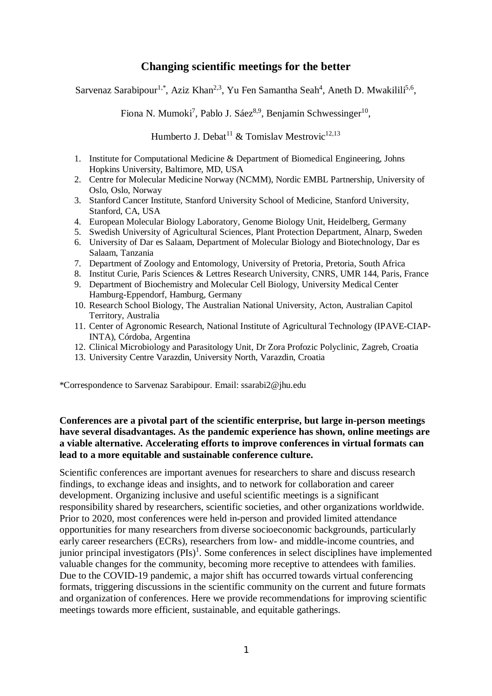# **Changing scientific meetings for the better**

Sarvenaz Sarabipour<sup>1,\*</sup>, Aziz Khan<sup>2,3</sup>, Yu Fen Samantha Seah<sup>4</sup>, Aneth D. Mwakilili<sup>5,6</sup>,

Fiona N. Mumoki<sup>7</sup>, Pablo J. Sáez<sup>8,9</sup>, Benjamin Schwessinger<sup>10</sup>,

Humberto J. Debat<sup>11</sup> & Tomislav Mestrovic<sup>12,13</sup>

- 1. Institute for Computational Medicine & Department of Biomedical Engineering, Johns Hopkins University, Baltimore, MD, USA
- 2. Centre for Molecular Medicine Norway (NCMM), Nordic EMBL Partnership, University of Oslo, Oslo, Norway
- 3. Stanford Cancer Institute, Stanford University School of Medicine, Stanford University, Stanford, CA, USA
- 4. European Molecular Biology Laboratory, Genome Biology Unit, Heidelberg, Germany
- 5. Swedish University of Agricultural Sciences, Plant Protection Department, Alnarp, Sweden
- 6. University of Dar es Salaam, Department of Molecular Biology and Biotechnology, Dar es Salaam, Tanzania
- 7. Department of Zoology and Entomology, University of Pretoria, Pretoria, South Africa
- 8. Institut Curie, Paris Sciences & Lettres Research University, CNRS, UMR 144, Paris, France
- 9. Department of Biochemistry and Molecular Cell Biology, University Medical Center Hamburg-Eppendorf, Hamburg, Germany
- 10. Research School Biology, The Australian National University, Acton, Australian Capitol Territory, Australia
- 11. Center of Agronomic Research, National Institute of Agricultural Technology (IPAVE-CIAP-INTA), Córdoba, Argentina
- 12. Clinical Microbiology and Parasitology Unit, Dr Zora Profozic Polyclinic, Zagreb, Croatia
- 13. University Centre Varazdin, University North, Varazdin, Croatia

\*Correspondence to Sarvenaz Sarabipour. Email: [ssarabi2@jhu.edu](mailto:ssarabi2:@jhu.edu)

### **Conferences are a pivotal part of the scientific enterprise, but large in-person meetings have several disadvantages. As the pandemic experience has shown, online meetings are a viable alternative. Accelerating efforts to improve conferences in virtual formats can lead to a more equitable and sustainable conference culture.**

Scientific conferences are important avenues for researchers to share and discuss research findings, to exchange ideas and insights, and to network for collaboration and career development. Organizing inclusive and useful scientific meetings is a significant responsibility shared by researchers, scientific societies, and other organizations worldwide. Prior to 2020, most conferences were held in-person and provided limited attendance opportunities for many researchers from diverse socioeconomic backgrounds, particularly early career researchers (ECRs), researchers from low- and middle-income countries, and junior principal investigators (PIs)<sup>1</sup>. Some conferences in select disciplines have implemented valuable changes for the community, becoming more receptive to attendees with families. Due to the COVID-19 pandemic, a major shift has occurred towards virtual conferencing formats, triggering discussions in the scientific community on the current and future formats and organization of conferences. Here we provide recommendations for improving scientific meetings towards more efficient, sustainable, and equitable gatherings.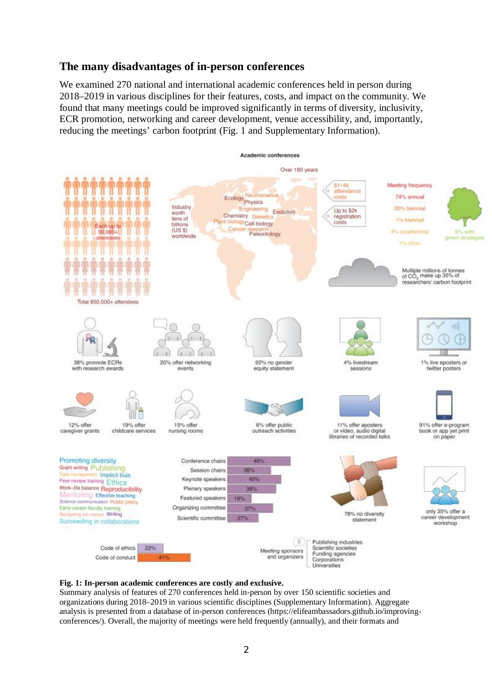# **The many disadvantages of in-person conferences**

We examined 270 national and international academic conferences held in person during 2018–2019 in various disciplines for their features, costs, and impact on the community. We found that many meetings could be improved significantly in terms of diversity, inclusivity, ECR promotion, networking and career development, venue accessibility, and, importantly, reducing the meetings' carbon footprint (Fig. 1 and Supplementary Information).



#### **Fig. 1: In-person academic conferences are costly and exclusive.**

Summary analysis of features of 270 conferences held in-person by over 150 scientific societies and organizations during 2018–2019 in various scientific disciplines (Supplementary Information). Aggregate analysis is presented from a database of in-person conferences [\(https://elifeambassadors.github.io/improving](https://elifeambassadors.github.io/improving-)conferences/). Overall, the majority of meetings were held frequently (annually), and their formats and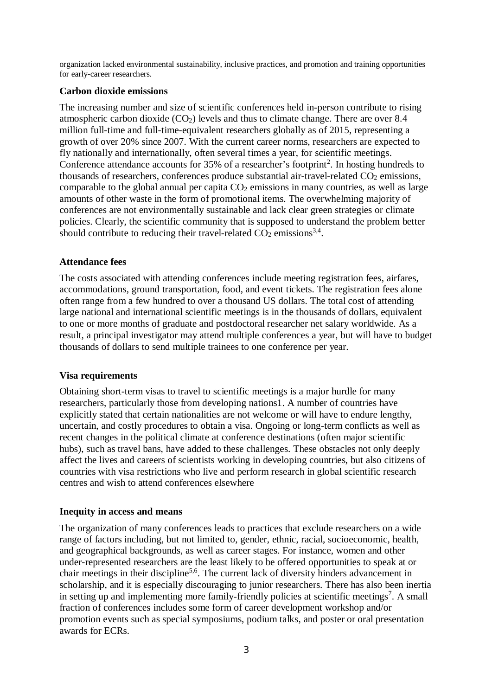organization lacked environmental sustainability, inclusive practices, and promotion and training opportunities for early-career researchers.

#### **Carbon dioxide emissions**

The increasing number and size of scientific conferences held in-person contribute to rising atmospheric carbon dioxide  $(CO<sub>2</sub>)$  levels and thus to climate change. There are over 8.4 million full-time and full-time-equivalent researchers globally as of 2015, representing a growth of over 20% since 2007. With the current career norms, researchers are expected to fly nationally and internationally, often several times a year, for scientific meetings. Conference attendance accounts for  $35\%$  of a researcher's footprint<sup>2</sup>. In hosting hundreds to thousands of researchers, conferences produce substantial air-travel-related  $CO<sub>2</sub>$  emissions, comparable to the global annual per capita  $CO<sub>2</sub>$  emissions in many countries, as well as large amounts of other waste in the form of promotional items. The overwhelming majority of conferences are not environmentally sustainable and lack clear green strategies or climate policies. Clearly, the scientific community that is supposed to understand the problem better should contribute to reducing their travel-related  $CO<sub>2</sub>$  emissions<sup>3,4</sup>.

### **Attendance fees**

The costs associated with attending conferences include meeting registration fees, airfares, accommodations, ground transportation, food, and event tickets. The registration fees alone often range from a few hundred to over a thousand US dollars. The total cost of attending large national and international scientific meetings is in the thousands of dollars, equivalent to one or more months of graduate and postdoctoral researcher net salary worldwide. As a result, a principal investigator may attend multiple conferences a year, but will have to budget thousands of dollars to send multiple trainees to one conference per year.

## **Visa requirements**

Obtaining short-term visas to travel to scientific meetings is a major hurdle for many researchers, particularly those from developing nations1. A number of countries have explicitly stated that certain nationalities are not welcome or will have to endure lengthy, uncertain, and costly procedures to obtain a visa. Ongoing or long-term conflicts as well as recent changes in the political climate at conference destinations (often major scientific hubs), such as travel bans, have added to these challenges. These obstacles not only deeply affect the lives and careers of scientists working in developing countries, but also citizens of countries with visa restrictions who live and perform research in global scientific research centres and wish to attend conferences elsewhere

#### **Inequity in access and means**

The organization of many conferences leads to practices that exclude researchers on a wide range of factors including, but not limited to, gender, ethnic, racial, socioeconomic, health, and geographical backgrounds, as well as career stages. For instance, women and other under-represented researchers are the least likely to be offered opportunities to speak at or chair meetings in their discipline5,6. The current lack of diversity hinders advancement in scholarship, and it is especially discouraging to junior researchers. There has also been inertia in setting up and implementing more family-friendly policies at scientific meetings<sup>7</sup>. A small fraction of conferences includes some form of career development workshop and/or promotion events such as special symposiums, podium talks, and poster or oral presentation awards for ECRs.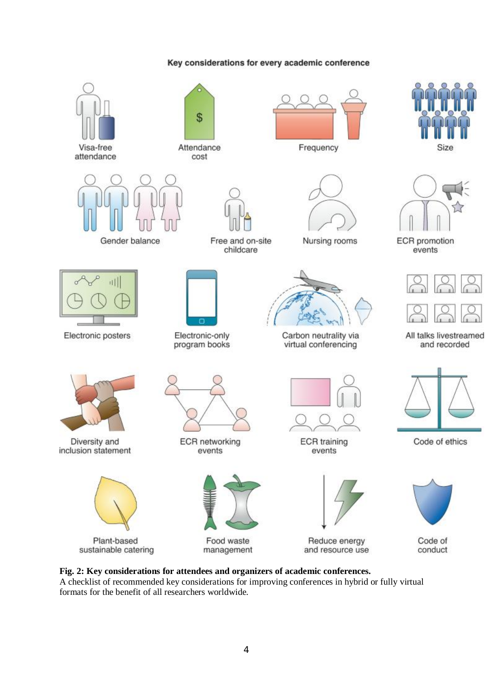

#### Key considerations for every academic conference

**Fig. 2: Key considerations for attendees and organizers of academic conferences.** A checklist of recommended key considerations for improving conferences in hybrid or fully virtual formats for the benefit of all researchers worldwide.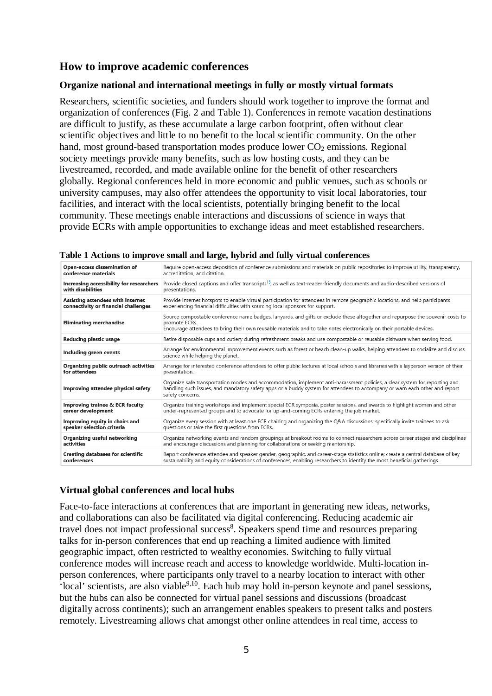# **How to improve academic conferences**

#### **Organize national and international meetings in fully or mostly virtual formats**

Researchers, scientific societies, and funders should work together to improve the format and organization of conferences (Fig. 2 and Table 1). Conferences in remote vacation destinations are difficult to justify, as these accumulate a large carbon footprint, often without clear scientific objectives and little to no benefit to the local scientific community. On the other hand, most ground-based transportation modes produce lower  $CO<sub>2</sub>$  emissions. Regional society meetings provide many benefits, such as low hosting costs, and they can be livestreamed, recorded, and made available online for the benefit of other researchers globally. Regional conferences held in more economic and public venues, such as schools or university campuses, may also offer attendees the opportunity to visit local laboratories, tour facilities, and interact with the local scientists, potentially bringing benefit to the local community. These meetings enable interactions and discussions of science in ways that provide ECRs with ample opportunities to exchange ideas and meet established researchers.

| Open-access dissemination of             | Require open-access deposition of conference submissions and materials on public repositories to improve utility, transparency,                                                                                                                                              |  |  |  |  |
|------------------------------------------|------------------------------------------------------------------------------------------------------------------------------------------------------------------------------------------------------------------------------------------------------------------------------|--|--|--|--|
| conference materials                     | accreditation, and citation.                                                                                                                                                                                                                                                 |  |  |  |  |
| Increasing accessibility for researchers | Provide closed captions and offer transcripts <sup>15</sup> , as well as text-reader-friendly documents and audio-described versions of                                                                                                                                      |  |  |  |  |
| with disabilities                        | presentations.                                                                                                                                                                                                                                                               |  |  |  |  |
| Assisting attendees with internet        | Provide internet hotspots to enable virtual participation for attendees in remote geographic locations, and help participants                                                                                                                                                |  |  |  |  |
| connectivity or financial challenges     | experiencing financial difficulties with sourcing local sponsors for support.                                                                                                                                                                                                |  |  |  |  |
| <b>Eliminating merchandise</b>           | Source compostable conference name badges, lanyards, and gifts or exclude these altogether and repurpose the souvenir costs to<br>promote ECRs.<br>Encourage attendees to bring their own reusable materials and to take notes electronically on their portable devices.     |  |  |  |  |
| Reducing plastic usage                   | Retire disposable cups and cutlery during refreshment breaks and use compostable or reusable dishware when serving food.                                                                                                                                                     |  |  |  |  |
| Including green events                   | Arrange for environmental improvement events such as forest or beach clean-up walks, helping attendees to socialize and discuss<br>science while helping the planet.                                                                                                         |  |  |  |  |
| Organizing public outreach activities    | Arrange for interested conference attendees to offer public lectures at local schools and libraries with a layperson version of their                                                                                                                                        |  |  |  |  |
| for attendees                            | presentation.                                                                                                                                                                                                                                                                |  |  |  |  |
| Improving attendee physical safety       | Organize safe transportation modes and accommodation, implement anti-harassment policies, a clear system for reporting and<br>handling such issues, and mandatory safety apps or a buddy system for attendees to accompany or warn each other and report<br>safety concerns. |  |  |  |  |
| Improving trainee & ECR faculty          | Organize training workshops and implement special ECR symposia, poster sessions, and awards to highlight women and other                                                                                                                                                     |  |  |  |  |
| career development                       | under-represented groups and to advocate for up-and-coming ECRs entering the job market.                                                                                                                                                                                     |  |  |  |  |
| Improving equity in chairs and           | Organize every session with at least one ECR chairing and organizing the Q&A discussions; specifically invite trainees to ask                                                                                                                                                |  |  |  |  |
| speaker selection criteria               | questions or take the first questions from ECRs.                                                                                                                                                                                                                             |  |  |  |  |
| Organizing useful networking             | Organize networking events and random groupings at breakout rooms to connect researchers across career stages and disciplines                                                                                                                                                |  |  |  |  |
| activities                               | and encourage discussions and planning for collaborations or seeking mentorship.                                                                                                                                                                                             |  |  |  |  |
| <b>Creating databases for scientific</b> | Report conference attendee and speaker gender, geographic, and career-stage statistics online; create a central database of key                                                                                                                                              |  |  |  |  |
| conferences                              | sustainability and equity considerations of conferences, enabling researchers to identify the most beneficial gatherings.                                                                                                                                                    |  |  |  |  |

|  |  |  |  | Table 1 Actions to improve small and large, hybrid and fully virtual conferences |
|--|--|--|--|----------------------------------------------------------------------------------|
|  |  |  |  |                                                                                  |

## **Virtual global conferences and local hubs**

Face-to-face interactions at conferences that are important in generating new ideas, networks, and collaborations can also be facilitated via digital conferencing. Reducing academic air travel does not impact professional success<sup>8</sup>. Speakers spend time and resources preparing talks for in-person conferences that end up reaching a limited audience with limited geographic impact, often restricted to wealthy economies. Switching to fully virtual conference modes will increase reach and access to knowledge worldwide. Multi-location inperson conferences, where participants only travel to a nearby location to interact with other  $\cdot$ local' scientists, are also viable $9,10$ . Each hub may hold in-person keynote and panel sessions, but the hubs can also be connected for virtual panel sessions and discussions (broadcast digitally across continents); such an arrangement enables speakers to present talks and posters remotely. Livestreaming allows chat amongst other online attendees in real time, access to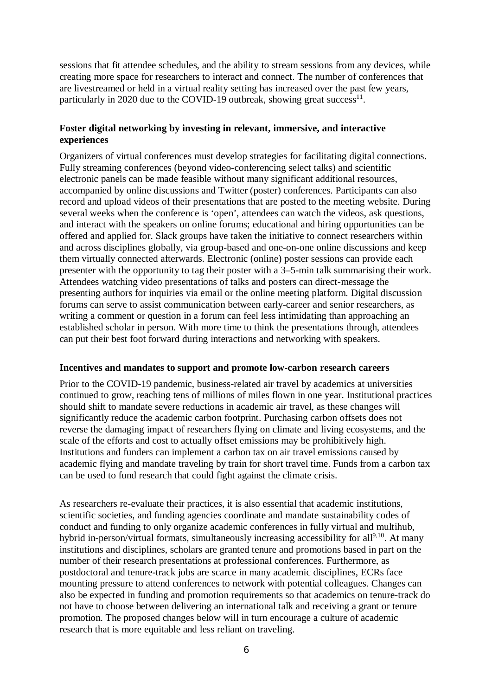sessions that fit attendee schedules, and the ability to stream sessions from any devices, while creating more space for researchers to interact and connect. The number of conferences that are livestreamed or held in a virtual reality setting has increased over the past few years, particularly in 2020 due to the COVID-19 outbreak, showing great success<sup>11</sup>.

### **Foster digital networking by investing in relevant, immersive, and interactive experiences**

Organizers of virtual conferences must develop strategies for facilitating digital connections. Fully streaming conferences (beyond video-conferencing select talks) and scientific electronic panels can be made feasible without many significant additional resources, accompanied by online discussions and Twitter (poster) conferences. Participants can also record and upload videos of their presentations that are posted to the meeting website. During several weeks when the conference is 'open', attendees can watch the videos, ask questions, and interact with the speakers on online forums; educational and hiring opportunities can be offered and applied for. Slack groups have taken the initiative to connect researchers within and across disciplines globally, via group-based and one-on-one online discussions and keep them virtually connected afterwards. Electronic (online) poster sessions can provide each presenter with the opportunity to tag their poster with a 3–5-min talk summarising their work. Attendees watching video presentations of talks and posters can direct-message the presenting authors for inquiries via email or the online meeting platform. Digital discussion forums can serve to assist communication between early-career and senior researchers, as writing a comment or question in a forum can feel less intimidating than approaching an established scholar in person. With more time to think the presentations through, attendees can put their best foot forward during interactions and networking with speakers.

#### **Incentives and mandates to support and promote low-carbon research careers**

Prior to the COVID-19 pandemic, business-related air travel by academics at universities continued to grow, reaching tens of millions of miles flown in one year. Institutional practices should shift to mandate severe reductions in academic air travel, as these changes will significantly reduce the academic carbon footprint. Purchasing carbon offsets does not reverse the damaging impact of researchers flying on climate and living ecosystems, and the scale of the efforts and cost to actually offset emissions may be prohibitively high. Institutions and funders can implement a carbon tax on air travel emissions caused by academic flying and mandate traveling by train for short travel time. Funds from a carbon tax can be used to fund research that could fight against the climate crisis.

As researchers re-evaluate their practices, it is also essential that academic institutions, scientific societies, and funding agencies coordinate and mandate sustainability codes of conduct and funding to only organize academic conferences in fully virtual and multihub, hybrid in-person/virtual formats, simultaneously increasing accessibility for all<sup>9,10</sup>. At many institutions and disciplines, scholars are granted tenure and promotions based in part on the number of their research presentations at professional conferences. Furthermore, as postdoctoral and tenure-track jobs are scarce in many academic disciplines, ECRs face mounting pressure to attend conferences to network with potential colleagues. Changes can also be expected in funding and promotion requirements so that academics on tenure-track do not have to choose between delivering an international talk and receiving a grant or tenure promotion. The proposed changes below will in turn encourage a culture of academic research that is more equitable and less reliant on traveling.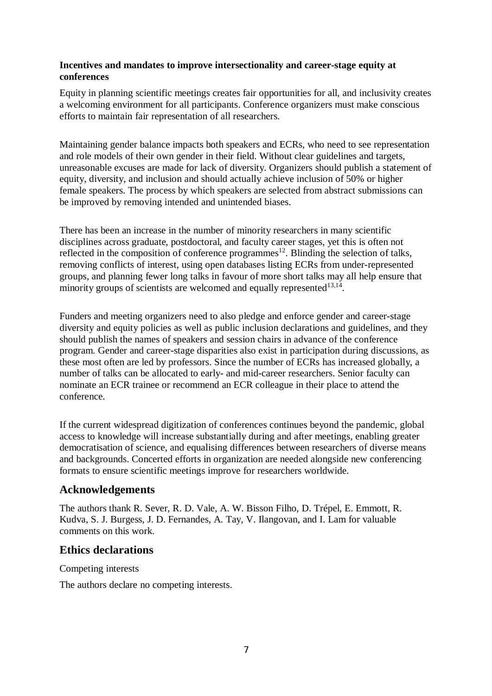### **Incentives and mandates to improve intersectionality and career-stage equity at conferences**

Equity in planning scientific meetings creates fair opportunities for all, and inclusivity creates a welcoming environment for all participants. Conference organizers must make conscious efforts to maintain fair representation of all researchers.

Maintaining gender balance impacts both speakers and ECRs, who need to see representation and role models of their own gender in their field. Without clear guidelines and targets, unreasonable excuses are made for lack of diversity. Organizers should publish a statement of equity, diversity, and inclusion and should actually achieve inclusion of 50% or higher female speakers. The process by which speakers are selected from abstract submissions can be improved by removing intended and unintended biases.

There has been an increase in the number of minority researchers in many scientific disciplines across graduate, postdoctoral, and faculty career stages, yet this is often not reflected in the composition of conference programmes<sup>12</sup>. Blinding the selection of talks, removing conflicts of interest, using open databases listing ECRs from under-represented groups, and planning fewer long talks in favour of more short talks may all help ensure that minority groups of scientists are welcomed and equally represented $13,14$ .

Funders and meeting organizers need to also pledge and enforce gender and career-stage diversity and equity policies as well as public inclusion declarations and guidelines, and they should publish the names of speakers and session chairs in advance of the conference program. Gender and career-stage disparities also exist in participation during discussions, as these most often are led by professors. Since the number of ECRs has increased globally, a number of talks can be allocated to early- and mid-career researchers. Senior faculty can nominate an ECR trainee or recommend an ECR colleague in their place to attend the conference.

If the current widespread digitization of conferences continues beyond the pandemic, global access to knowledge will increase substantially during and after meetings, enabling greater democratisation of science, and equalising differences between researchers of diverse means and backgrounds. Concerted efforts in organization are needed alongside new conferencing formats to ensure scientific meetings improve for researchers worldwide.

# **Acknowledgements**

The authors thank R. Sever, R. D. Vale, A. W. Bisson Filho, D. Trépel, E. Emmott, R. Kudva, S. J. Burgess, J. D. Fernandes, A. Tay, V. Ilangovan, and I. Lam for valuable comments on this work.

# **Ethics declarations**

Competing interests

The authors declare no competing interests.